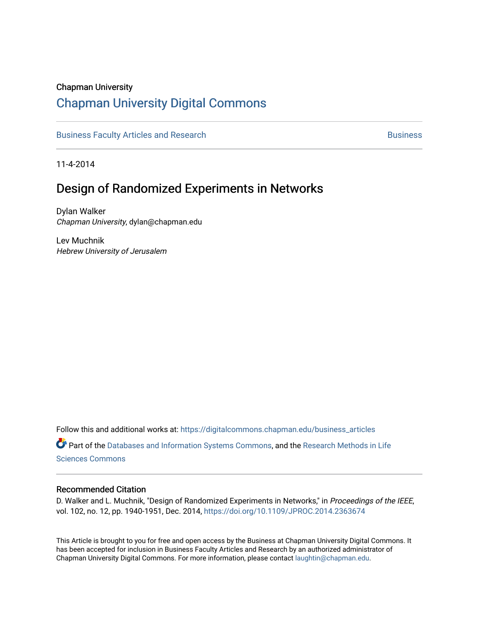# Chapman University

# [Chapman University Digital Commons](https://digitalcommons.chapman.edu/)

[Business Faculty Articles and Research](https://digitalcommons.chapman.edu/business_articles) [Business](https://digitalcommons.chapman.edu/business) **Business** Business

11-4-2014

# Design of Randomized Experiments in Networks

Dylan Walker Chapman University, dylan@chapman.edu

Lev Muchnik Hebrew University of Jerusalem

Follow this and additional works at: [https://digitalcommons.chapman.edu/business\\_articles](https://digitalcommons.chapman.edu/business_articles?utm_source=digitalcommons.chapman.edu%2Fbusiness_articles%2F141&utm_medium=PDF&utm_campaign=PDFCoverPages)  Part of the [Databases and Information Systems Commons](https://network.bepress.com/hgg/discipline/145?utm_source=digitalcommons.chapman.edu%2Fbusiness_articles%2F141&utm_medium=PDF&utm_campaign=PDFCoverPages), and the [Research Methods in Life](https://network.bepress.com/hgg/discipline/1385?utm_source=digitalcommons.chapman.edu%2Fbusiness_articles%2F141&utm_medium=PDF&utm_campaign=PDFCoverPages) [Sciences Commons](https://network.bepress.com/hgg/discipline/1385?utm_source=digitalcommons.chapman.edu%2Fbusiness_articles%2F141&utm_medium=PDF&utm_campaign=PDFCoverPages) 

## Recommended Citation

D. Walker and L. Muchnik, "Design of Randomized Experiments in Networks," in Proceedings of the IEEE, vol. 102, no. 12, pp. 1940-1951, Dec. 2014, <https://doi.org/10.1109/JPROC.2014.2363674>

This Article is brought to you for free and open access by the Business at Chapman University Digital Commons. It has been accepted for inclusion in Business Faculty Articles and Research by an authorized administrator of Chapman University Digital Commons. For more information, please contact [laughtin@chapman.edu](mailto:laughtin@chapman.edu).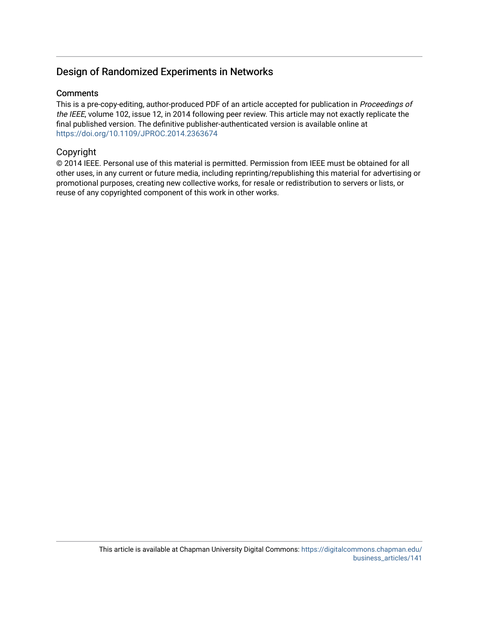# Design of Randomized Experiments in Networks

# **Comments**

This is a pre-copy-editing, author-produced PDF of an article accepted for publication in Proceedings of the IEEE, volume 102, issue 12, in 2014 following peer review. This article may not exactly replicate the final published version. The definitive publisher-authenticated version is available online at <https://doi.org/10.1109/JPROC.2014.2363674>

# Copyright

© 2014 IEEE. Personal use of this material is permitted. Permission from IEEE must be obtained for all other uses, in any current or future media, including reprinting/republishing this material for advertising or promotional purposes, creating new collective works, for resale or redistribution to servers or lists, or reuse of any copyrighted component of this work in other works.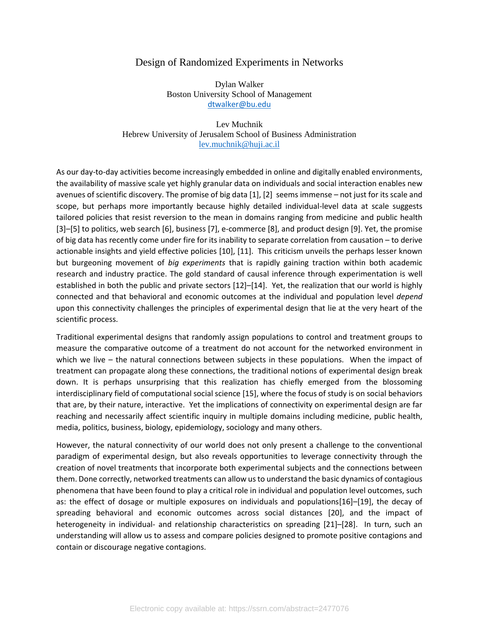# Design of Randomized Experiments in Networks

Dylan Walker Boston University School of Management [dtwalker@bu.edu](mailto:dtwalker@bu.edu)

Lev Muchnik Hebrew University of Jerusalem School of Business Administration [lev.muchnik@huji.ac.il](mailto:lev.muchnik@huji.ac.il)

As our day-to-day activities become increasingly embedded in online and digitally enabled environments, the availability of massive scale yet highly granular data on individuals and social interaction enables new avenues of scientific discovery. The promise of big data [1], [2] seems immense – not just for its scale and scope, but perhaps more importantly because highly detailed individual-level data at scale suggests tailored policies that resist reversion to the mean in domains ranging from medicine and public health [3]–[5] to politics, web search [6], business [7], e-commerce [8], and product design [9]. Yet, the promise of big data has recently come under fire for its inability to separate correlation from causation – to derive actionable insights and yield effective policies [10], [11]. This criticism unveils the perhaps lesser known but burgeoning movement of *big experiments* that is rapidly gaining traction within both academic research and industry practice. The gold standard of causal inference through experimentation is well established in both the public and private sectors [12]–[14]. Yet, the realization that our world is highly connected and that behavioral and economic outcomes at the individual and population level *depend* upon this connectivity challenges the principles of experimental design that lie at the very heart of the scientific process.

Traditional experimental designs that randomly assign populations to control and treatment groups to measure the comparative outcome of a treatment do not account for the networked environment in which we live – the natural connections between subjects in these populations. When the impact of treatment can propagate along these connections, the traditional notions of experimental design break down. It is perhaps unsurprising that this realization has chiefly emerged from the blossoming interdisciplinary field of computational social science [15], where the focus of study is on social behaviors that are, by their nature, interactive. Yet the implications of connectivity on experimental design are far reaching and necessarily affect scientific inquiry in multiple domains including medicine, public health, media, politics, business, biology, epidemiology, sociology and many others.

However, the natural connectivity of our world does not only present a challenge to the conventional paradigm of experimental design, but also reveals opportunities to leverage connectivity through the creation of novel treatments that incorporate both experimental subjects and the connections between them. Done correctly, networked treatments can allow us to understand the basic dynamics of contagious phenomena that have been found to play a critical role in individual and population level outcomes, such as: the effect of dosage or multiple exposures on individuals and populations[16]–[19], the decay of spreading behavioral and economic outcomes across social distances [20], and the impact of heterogeneity in individual- and relationship characteristics on spreading [21]–[28]. In turn, such an understanding will allow us to assess and compare policies designed to promote positive contagions and contain or discourage negative contagions.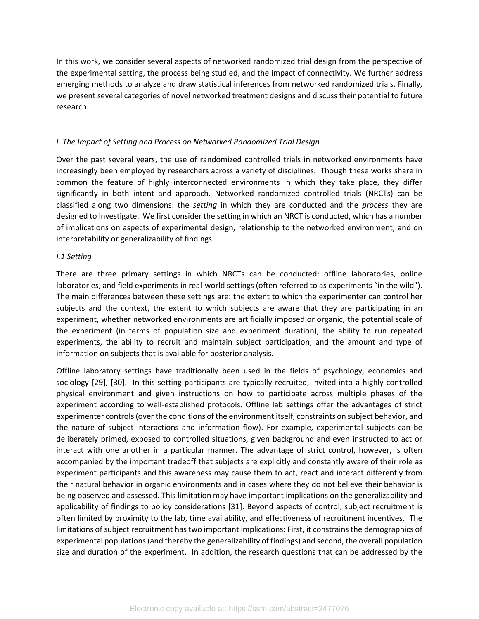In this work, we consider several aspects of networked randomized trial design from the perspective of the experimental setting, the process being studied, and the impact of connectivity. We further address emerging methods to analyze and draw statistical inferences from networked randomized trials. Finally, we present several categories of novel networked treatment designs and discuss their potential to future research.

### *I. The Impact of Setting and Process on Networked Randomized Trial Design*

Over the past several years, the use of randomized controlled trials in networked environments have increasingly been employed by researchers across a variety of disciplines. Though these works share in common the feature of highly interconnected environments in which they take place, they differ significantly in both intent and approach. Networked randomized controlled trials (NRCTs) can be classified along two dimensions: the *setting* in which they are conducted and the *process* they are designed to investigate. We first consider the setting in which an NRCT is conducted, which has a number of implications on aspects of experimental design, relationship to the networked environment, and on interpretability or generalizability of findings.

#### *I.1 Setting*

There are three primary settings in which NRCTs can be conducted: offline laboratories, online laboratories, and field experiments in real-world settings (often referred to as experiments "in the wild"). The main differences between these settings are: the extent to which the experimenter can control her subjects and the context, the extent to which subjects are aware that they are participating in an experiment, whether networked environments are artificially imposed or organic, the potential scale of the experiment (in terms of population size and experiment duration), the ability to run repeated experiments, the ability to recruit and maintain subject participation, and the amount and type of information on subjects that is available for posterior analysis.

Offline laboratory settings have traditionally been used in the fields of psychology, economics and sociology [29], [30]. In this setting participants are typically recruited, invited into a highly controlled physical environment and given instructions on how to participate across multiple phases of the experiment according to well-established protocols. Offline lab settings offer the advantages of strict experimenter controls (over the conditions of the environment itself, constraints on subject behavior, and the nature of subject interactions and information flow). For example, experimental subjects can be deliberately primed, exposed to controlled situations, given background and even instructed to act or interact with one another in a particular manner. The advantage of strict control, however, is often accompanied by the important tradeoff that subjects are explicitly and constantly aware of their role as experiment participants and this awareness may cause them to act, react and interact differently from their natural behavior in organic environments and in cases where they do not believe their behavior is being observed and assessed. This limitation may have important implications on the generalizability and applicability of findings to policy considerations [31]. Beyond aspects of control, subject recruitment is often limited by proximity to the lab, time availability, and effectiveness of recruitment incentives. The limitations of subject recruitment has two important implications: First, it constrains the demographics of experimental populations (and thereby the generalizability of findings) and second, the overall population size and duration of the experiment. In addition, the research questions that can be addressed by the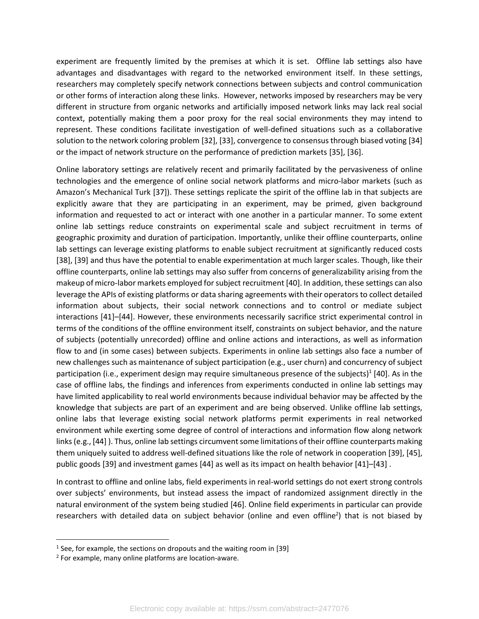experiment are frequently limited by the premises at which it is set. Offline lab settings also have advantages and disadvantages with regard to the networked environment itself. In these settings, researchers may completely specify network connections between subjects and control communication or other forms of interaction along these links. However, networks imposed by researchers may be very different in structure from organic networks and artificially imposed network links may lack real social context, potentially making them a poor proxy for the real social environments they may intend to represent. These conditions facilitate investigation of well-defined situations such as a collaborative solution to the network coloring problem [32], [33], convergence to consensus through biased voting [34] or the impact of network structure on the performance of prediction markets [35], [36].

Online laboratory settings are relatively recent and primarily facilitated by the pervasiveness of online technologies and the emergence of online social network platforms and micro-labor markets (such as Amazon's Mechanical Turk [37]). These settings replicate the spirit of the offline lab in that subjects are explicitly aware that they are participating in an experiment, may be primed, given background information and requested to act or interact with one another in a particular manner. To some extent online lab settings reduce constraints on experimental scale and subject recruitment in terms of geographic proximity and duration of participation. Importantly, unlike their offline counterparts, online lab settings can leverage existing platforms to enable subject recruitment at significantly reduced costs [38], [39] and thus have the potential to enable experimentation at much larger scales. Though, like their offline counterparts, online lab settings may also suffer from concerns of generalizability arising from the makeup of micro-labor markets employed for subject recruitment [40]. In addition, these settings can also leverage the APIs of existing platforms or data sharing agreements with their operators to collect detailed information about subjects, their social network connections and to control or mediate subject interactions [41]–[44]. However, these environments necessarily sacrifice strict experimental control in terms of the conditions of the offline environment itself, constraints on subject behavior, and the nature of subjects (potentially unrecorded) offline and online actions and interactions, as well as information flow to and (in some cases) between subjects. Experiments in online lab settings also face a number of new challenges such as maintenance of subject participation (e.g., user churn) and concurrency of subject participation (i.e., experiment design may require simultaneous presence of the subjects)<sup>1</sup> [40]. As in the case of offline labs, the findings and inferences from experiments conducted in online lab settings may have limited applicability to real world environments because individual behavior may be affected by the knowledge that subjects are part of an experiment and are being observed. Unlike offline lab settings, online labs that leverage existing social network platforms permit experiments in real networked environment while exerting some degree of control of interactions and information flow along network links(e.g., [44] ). Thus, online lab settings circumvent some limitations of their offline counterparts making them uniquely suited to address well-defined situations like the role of network in cooperation [39], [45], public goods [39] and investment games [44] as well as its impact on health behavior [41]–[43] .

In contrast to offline and online labs, field experiments in real-world settings do not exert strong controls over subjects' environments, but instead assess the impact of randomized assignment directly in the natural environment of the system being studied [46]. Online field experiments in particular can provide researchers with detailed data on subject behavior (online and even offline<sup>2</sup>) that is not biased by

 $<sup>1</sup>$  See, for example, the sections on dropouts and the waiting room in [39]</sup>

<sup>&</sup>lt;sup>2</sup> For example, many online platforms are location-aware.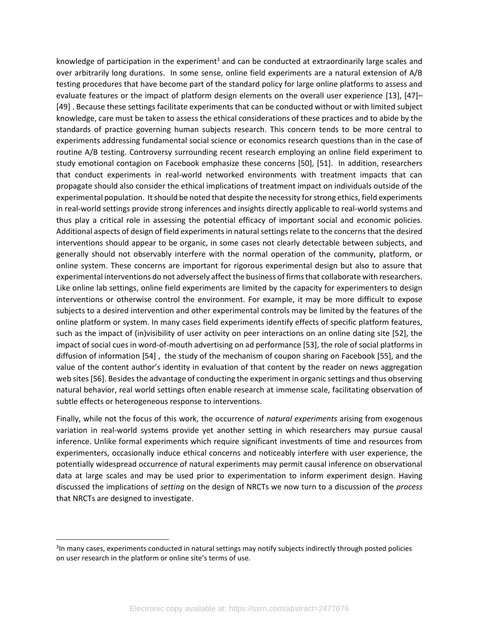knowledge of participation in the experiment<sup>3</sup> and can be conducted at extraordinarily large scales and over arbitrarily long durations. In some sense, online field experiments are a natural extension of A/B testing procedures that have become part of the standard policy for large online platforms to assess and evaluate features or the impact of platform design elements on the overall user experience [13], [47]– [49] . Because these settings facilitate experiments that can be conducted without or with limited subject knowledge, care must be taken to assess the ethical considerations of these practices and to abide by the standards of practice governing human subjects research. This concern tends to be more central to experiments addressing fundamental social science or economics research questions than in the case of routine A/B testing. Controversy surrounding recent research employing an online field experiment to study emotional contagion on Facebook emphasize these concerns [50], [51]. In addition, researchers that conduct experiments in real-world networked environments with treatment impacts that can propagate should also consider the ethical implications of treatment impact on individuals outside of the experimental population. It should be noted that despite the necessity for strong ethics, field experiments in real-world settings provide strong inferences and insights directly applicable to real-world systems and thus play a critical role in assessing the potential efficacy of important social and economic policies. Additional aspects of design of field experiments in natural settings relate to the concerns that the desired interventions should appear to be organic, in some cases not clearly detectable between subjects, and generally should not observably interfere with the normal operation of the community, platform, or online system. These concerns are important for rigorous experimental design but also to assure that experimental interventions do not adversely affect the business of firms that collaborate with researchers. Like online lab settings, online field experiments are limited by the capacity for experimenters to design interventions or otherwise control the environment. For example, it may be more difficult to expose subjects to a desired intervention and other experimental controls may be limited by the features of the online platform or system. In many cases field experiments identify effects of specific platform features, such as the impact of (in)visibility of user activity on peer interactions on an online dating site [52], the impact of social cues in word-of-mouth advertising on ad performance [53], the role of social platforms in diffusion of information [54] , the study of the mechanism of coupon sharing on Facebook [55], and the value of the content author's identity in evaluation of that content by the reader on news aggregation web sites [56]. Besides the advantage of conducting the experiment in organic settings and thus observing natural behavior, real world settings often enable research at immense scale, facilitating observation of subtle effects or heterogeneous response to interventions.

Finally, while not the focus of this work, the occurrence of *natural experiments* arising from exogenous variation in real-world systems provide yet another setting in which researchers may pursue causal inference. Unlike formal experiments which require significant investments of time and resources from experimenters, occasionally induce ethical concerns and noticeably interfere with user experience, the potentially widespread occurrence of natural experiments may permit causal inference on observational data at large scales and may be used prior to experimentation to inform experiment design. Having discussed the implications of *setting* on the design of NRCTs we now turn to a discussion of the *process* that NRCTs are designed to investigate.

<sup>&</sup>lt;sup>3</sup>In many cases, experiments conducted in natural settings may notify subjects indirectly through posted policies on user research in the platform or online site's terms of use.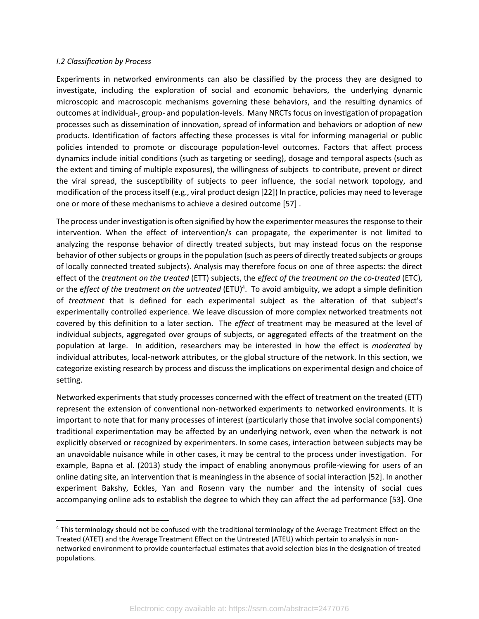#### *I.2 Classification by Process*

 $\overline{a}$ 

Experiments in networked environments can also be classified by the process they are designed to investigate, including the exploration of social and economic behaviors, the underlying dynamic microscopic and macroscopic mechanisms governing these behaviors, and the resulting dynamics of outcomes at individual-, group- and population-levels. Many NRCTs focus on investigation of propagation processes such as dissemination of innovation, spread of information and behaviors or adoption of new products. Identification of factors affecting these processes is vital for informing managerial or public policies intended to promote or discourage population-level outcomes. Factors that affect process dynamics include initial conditions (such as targeting or seeding), dosage and temporal aspects (such as the extent and timing of multiple exposures), the willingness of subjects to contribute, prevent or direct the viral spread, the susceptibility of subjects to peer influence, the social network topology, and modification of the process itself (e.g., viral product design [22]) In practice, policies may need to leverage one or more of these mechanisms to achieve a desired outcome [57] .

The process under investigation is often signified by how the experimenter measures the response to their intervention. When the effect of intervention/s can propagate, the experimenter is not limited to analyzing the response behavior of directly treated subjects, but may instead focus on the response behavior of other subjects or groups in the population (such as peers of directly treated subjects or groups of locally connected treated subjects). Analysis may therefore focus on one of three aspects: the direct effect of the *treatment on the treated* (ETT) subjects, the *effect of the treatment on the co-treated* (ETC), or the *effect of the treatment on the untreated* (ETU)<sup>4</sup>. To avoid ambiguity, we adopt a simple definition of *treatment* that is defined for each experimental subject as the alteration of that subject's experimentally controlled experience. We leave discussion of more complex networked treatments not covered by this definition to a later section. The *effect* of treatment may be measured at the level of individual subjects, aggregated over groups of subjects, or aggregated effects of the treatment on the population at large. In addition, researchers may be interested in how the effect is *moderated* by individual attributes, local-network attributes, or the global structure of the network. In this section, we categorize existing research by process and discuss the implications on experimental design and choice of setting.

Networked experiments that study processes concerned with the effect of treatment on the treated (ETT) represent the extension of conventional non-networked experiments to networked environments. It is important to note that for many processes of interest (particularly those that involve social components) traditional experimentation may be affected by an underlying network, even when the network is not explicitly observed or recognized by experimenters. In some cases, interaction between subjects may be an unavoidable nuisance while in other cases, it may be central to the process under investigation. For example, Bapna et al. (2013) study the impact of enabling anonymous profile-viewing for users of an online dating site, an intervention that is meaningless in the absence of social interaction [52]. In another experiment Bakshy, Eckles, Yan and Rosenn vary the number and the intensity of social cues accompanying online ads to establish the degree to which they can affect the ad performance [53]. One

<sup>4</sup> This terminology should not be confused with the traditional terminology of the Average Treatment Effect on the Treated (ATET) and the Average Treatment Effect on the Untreated (ATEU) which pertain to analysis in nonnetworked environment to provide counterfactual estimates that avoid selection bias in the designation of treated populations.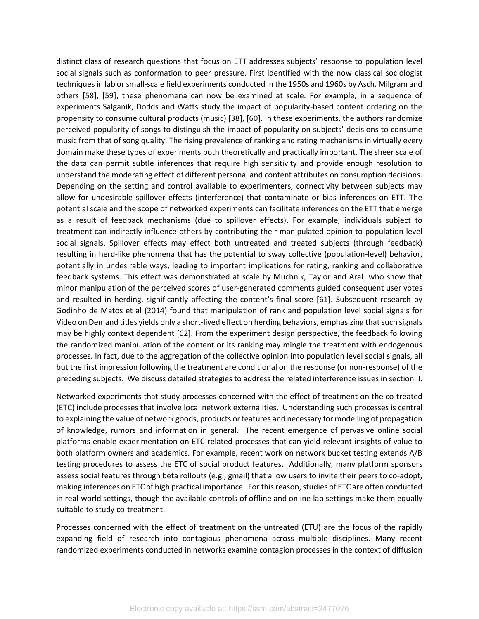distinct class of research questions that focus on ETT addresses subjects' response to population level social signals such as conformation to peer pressure. First identified with the now classical sociologist techniques in lab or small-scale field experiments conducted in the 1950s and 1960s by Asch, Milgram and others [58], [59], these phenomena can now be examined at scale. For example, in a sequence of experiments Salganik, Dodds and Watts study the impact of popularity-based content ordering on the propensity to consume cultural products (music) [38], [60]. In these experiments, the authors randomize perceived popularity of songs to distinguish the impact of popularity on subjects' decisions to consume music from that of song quality. The rising prevalence of ranking and rating mechanisms in virtually every domain make these types of experiments both theoretically and practically important. The sheer scale of the data can permit subtle inferences that require high sensitivity and provide enough resolution to understand the moderating effect of different personal and content attributes on consumption decisions. Depending on the setting and control available to experimenters, connectivity between subjects may allow for undesirable spillover effects (interference) that contaminate or bias inferences on ETT. The potential scale and the scope of networked experiments can facilitate inferences on the ETT that emerge as a result of feedback mechanisms (due to spillover effects). For example, individuals subject to treatment can indirectly influence others by contributing their manipulated opinion to population-level social signals. Spillover effects may effect both untreated and treated subjects (through feedback) resulting in herd-like phenomena that has the potential to sway collective (population-level) behavior, potentially in undesirable ways, leading to important implications for rating, ranking and collaborative feedback systems. This effect was demonstrated at scale by Muchnik, Taylor and Aral who show that minor manipulation of the perceived scores of user-generated comments guided consequent user votes and resulted in herding, significantly affecting the content's final score [61]. Subsequent research by Godinho de Matos et al (2014) found that manipulation of rank and population level social signals for Video on Demand titles yields only a short-lived effect on herding behaviors, emphasizing that such signals may be highly context dependent [62]. From the experiment design perspective, the feedback following the randomized manipulation of the content or its ranking may mingle the treatment with endogenous processes. In fact, due to the aggregation of the collective opinion into population level social signals, all but the first impression following the treatment are conditional on the response (or non-response) of the preceding subjects. We discuss detailed strategies to address the related interference issues in section II.

Networked experiments that study processes concerned with the effect of treatment on the co-treated (ETC) include processes that involve local network externalities. Understanding such processes is central to explaining the value of network goods, products or features and necessary for modelling of propagation of knowledge, rumors and information in general. The recent emergence of pervasive online social platforms enable experimentation on ETC-related processes that can yield relevant insights of value to both platform owners and academics. For example, recent work on network bucket testing extends A/B testing procedures to assess the ETC of social product features. Additionally, many platform sponsors assess social features through beta rollouts (e.g., gmail) that allow users to invite their peers to co-adopt, making inferences on ETC of high practical importance. For this reason, studies of ETC are often conducted in real-world settings, though the available controls of offline and online lab settings make them equally suitable to study co-treatment.

Processes concerned with the effect of treatment on the untreated (ETU) are the focus of the rapidly expanding field of research into contagious phenomena across multiple disciplines. Many recent randomized experiments conducted in networks examine contagion processes in the context of diffusion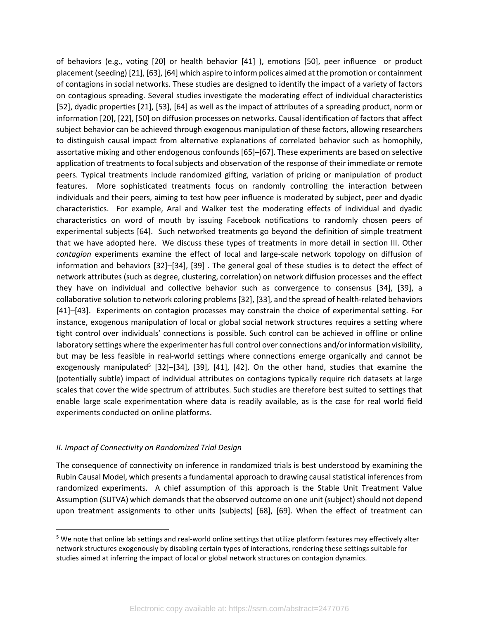of behaviors (e.g., voting [20] or health behavior [41] ), emotions [50], peer influence or product placement (seeding) [21], [63], [64] which aspire to inform polices aimed at the promotion or containment of contagions in social networks. These studies are designed to identify the impact of a variety of factors on contagious spreading. Several studies investigate the moderating effect of individual characteristics [52], dyadic properties [21], [53], [64] as well as the impact of attributes of a spreading product, norm or information [20], [22], [50] on diffusion processes on networks. Causal identification of factors that affect subject behavior can be achieved through exogenous manipulation of these factors, allowing researchers to distinguish causal impact from alternative explanations of correlated behavior such as homophily, assortative mixing and other endogenous confounds [65]-[67]. These experiments are based on selective application of treatments to focal subjects and observation of the response of their immediate or remote peers. Typical treatments include randomized gifting, variation of pricing or manipulation of product features. More sophisticated treatments focus on randomly controlling the interaction between individuals and their peers, aiming to test how peer influence is moderated by subject, peer and dyadic characteristics. For example, Aral and Walker test the moderating effects of individual and dyadic characteristics on word of mouth by issuing Facebook notifications to randomly chosen peers of experimental subjects [64]. Such networked treatments go beyond the definition of simple treatment that we have adopted here. We discuss these types of treatments in more detail in section III. Other *contagion* experiments examine the effect of local and large-scale network topology on diffusion of information and behaviors [32]–[34], [39] . The general goal of these studies is to detect the effect of network attributes (such as degree, clustering, correlation) on network diffusion processes and the effect they have on individual and collective behavior such as convergence to consensus [34], [39], a collaborative solution to network coloring problems [32], [33], and the spread of health-related behaviors [41]–[43]. Experiments on contagion processes may constrain the choice of experimental setting. For instance, exogenous manipulation of local or global social network structures requires a setting where tight control over individuals' connections is possible. Such control can be achieved in offline or online laboratory settings where the experimenter has full control over connections and/or information visibility, but may be less feasible in real-world settings where connections emerge organically and cannot be exogenously manipulated<sup>5</sup> [32]–[34], [39], [41], [42]. On the other hand, studies that examine the (potentially subtle) impact of individual attributes on contagions typically require rich datasets at large scales that cover the wide spectrum of attributes. Such studies are therefore best suited to settings that enable large scale experimentation where data is readily available, as is the case for real world field experiments conducted on online platforms.

## *II. Impact of Connectivity on Randomized Trial Design*

 $\overline{\phantom{a}}$ 

The consequence of connectivity on inference in randomized trials is best understood by examining the Rubin Causal Model, which presents a fundamental approach to drawing causal statistical inferences from randomized experiments. A chief assumption of this approach is the Stable Unit Treatment Value Assumption (SUTVA) which demands that the observed outcome on one unit (subject) should not depend upon treatment assignments to other units (subjects) [68], [69]. When the effect of treatment can

<sup>&</sup>lt;sup>5</sup> We note that online lab settings and real-world online settings that utilize platform features may effectively alter network structures exogenously by disabling certain types of interactions, rendering these settings suitable for studies aimed at inferring the impact of local or global network structures on contagion dynamics.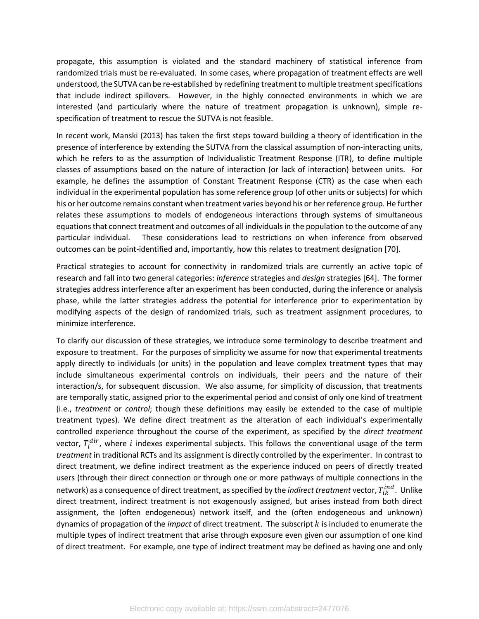propagate, this assumption is violated and the standard machinery of statistical inference from randomized trials must be re-evaluated. In some cases, where propagation of treatment effects are well understood, the SUTVA can be re-established by redefining treatment to multiple treatment specifications that include indirect spillovers. However, in the highly connected environments in which we are interested (and particularly where the nature of treatment propagation is unknown), simple respecification of treatment to rescue the SUTVA is not feasible.

In recent work, Manski (2013) has taken the first steps toward building a theory of identification in the presence of interference by extending the SUTVA from the classical assumption of non-interacting units, which he refers to as the assumption of Individualistic Treatment Response (ITR), to define multiple classes of assumptions based on the nature of interaction (or lack of interaction) between units. For example, he defines the assumption of Constant Treatment Response (CTR) as the case when each individual in the experimental population has some reference group (of other units or subjects) for which his or her outcome remains constant when treatment varies beyond his or her reference group. He further relates these assumptions to models of endogeneous interactions through systems of simultaneous equations that connect treatment and outcomes of all individuals in the population to the outcome of any particular individual. These considerations lead to restrictions on when inference from observed outcomes can be point-identified and, importantly, how this relates to treatment designation [70].

Practical strategies to account for connectivity in randomized trials are currently an active topic of research and fall into two general categories: *inference* strategies and *design* strategies [64]. The former strategies address interference after an experiment has been conducted, during the inference or analysis phase, while the latter strategies address the potential for interference prior to experimentation by modifying aspects of the design of randomized trials, such as treatment assignment procedures, to minimize interference.

To clarify our discussion of these strategies, we introduce some terminology to describe treatment and exposure to treatment. For the purposes of simplicity we assume for now that experimental treatments apply directly to individuals (or units) in the population and leave complex treatment types that may include simultaneous experimental controls on individuals, their peers and the nature of their interaction/s, for subsequent discussion. We also assume, for simplicity of discussion, that treatments are temporally static, assigned prior to the experimental period and consist of only one kind of treatment (i.e., *treatment* or *control*; though these definitions may easily be extended to the case of multiple treatment types). We define direct treatment as the alteration of each individual's experimentally controlled experience throughout the course of the experiment, as specified by the *direct treatment* vector,  $T_i^{dir}$ , where i indexes experimental subjects. This follows the conventional usage of the term *treatment* in traditional RCTs and its assignment is directly controlled by the experimenter. In contrast to direct treatment, we define indirect treatment as the experience induced on peers of directly treated users (through their direct connection or through one or more pathways of multiple connections in the network) as a consequence of direct treatment, as specified by the *indirect treatment* vector,  $T^{ind}_{ik}$ . Unlike direct treatment, indirect treatment is not exogenously assigned, but arises instead from both direct assignment, the (often endogeneous) network itself, and the (often endogeneous and unknown) dynamics of propagation of the *impact* of direct treatment. The subscript k is included to enumerate the multiple types of indirect treatment that arise through exposure even given our assumption of one kind of direct treatment. For example, one type of indirect treatment may be defined as having one and only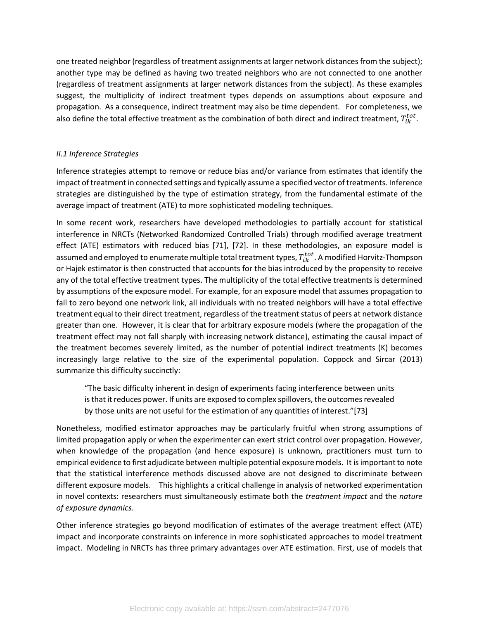one treated neighbor (regardless of treatment assignments at larger network distances from the subject); another type may be defined as having two treated neighbors who are not connected to one another (regardless of treatment assignments at larger network distances from the subject). As these examples suggest, the multiplicity of indirect treatment types depends on assumptions about exposure and propagation. As a consequence, indirect treatment may also be time dependent. For completeness, we also define the total effective treatment as the combination of both direct and indirect treatment,  $T^{tot}_{ik}$ .

## *II.1 Inference Strategies*

Inference strategies attempt to remove or reduce bias and/or variance from estimates that identify the impact of treatment in connected settings and typically assume a specified vector of treatments. Inference strategies are distinguished by the type of estimation strategy, from the fundamental estimate of the average impact of treatment (ATE) to more sophisticated modeling techniques.

In some recent work, researchers have developed methodologies to partially account for statistical interference in NRCTs (Networked Randomized Controlled Trials) through modified average treatment effect (ATE) estimators with reduced bias [71], [72]. In these methodologies, an exposure model is assumed and employed to enumerate multiple total treatment types,  $T^{tot}_{ik}$  . A modified Horvitz-Thompson or Hajek estimator is then constructed that accounts for the bias introduced by the propensity to receive any of the total effective treatment types. The multiplicity of the total effective treatments is determined by assumptions of the exposure model. For example, for an exposure model that assumes propagation to fall to zero beyond one network link, all individuals with no treated neighbors will have a total effective treatment equal to their direct treatment, regardless of the treatment status of peers at network distance greater than one. However, it is clear that for arbitrary exposure models (where the propagation of the treatment effect may not fall sharply with increasing network distance), estimating the causal impact of the treatment becomes severely limited, as the number of potential indirect treatments (K) becomes increasingly large relative to the size of the experimental population. Coppock and Sircar (2013) summarize this difficulty succinctly:

"The basic difficulty inherent in design of experiments facing interference between units is that it reduces power. If units are exposed to complex spillovers, the outcomes revealed by those units are not useful for the estimation of any quantities of interest."[73]

Nonetheless, modified estimator approaches may be particularly fruitful when strong assumptions of limited propagation apply or when the experimenter can exert strict control over propagation. However, when knowledge of the propagation (and hence exposure) is unknown, practitioners must turn to empirical evidence to first adjudicate between multiple potential exposure models. It is important to note that the statistical interference methods discussed above are not designed to discriminate between different exposure models. This highlights a critical challenge in analysis of networked experimentation in novel contexts: researchers must simultaneously estimate both the *treatment impact* and the *nature of exposure dynamics*.

Other inference strategies go beyond modification of estimates of the average treatment effect (ATE) impact and incorporate constraints on inference in more sophisticated approaches to model treatment impact. Modeling in NRCTs has three primary advantages over ATE estimation. First, use of models that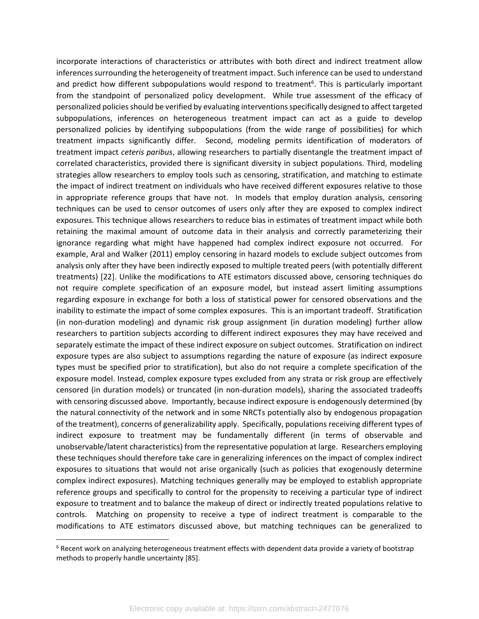incorporate interactions of characteristics or attributes with both direct and indirect treatment allow inferences surrounding the heterogeneity of treatment impact. Such inference can be used to understand and predict how different subpopulations would respond to treatment<sup>6</sup>. This is particularly important from the standpoint of personalized policy development. While true assessment of the efficacy of personalized policies should be verified by evaluating interventions specifically designed to affect targeted subpopulations, inferences on heterogeneous treatment impact can act as a guide to develop personalized policies by identifying subpopulations (from the wide range of possibilities) for which treatment impacts significantly differ. Second, modeling permits identification of moderators of treatment impact *ceteris paribus*, allowing researchers to partially disentangle the treatment impact of correlated characteristics, provided there is significant diversity in subject populations. Third, modeling strategies allow researchers to employ tools such as censoring, stratification, and matching to estimate the impact of indirect treatment on individuals who have received different exposures relative to those in appropriate reference groups that have not. In models that employ duration analysis, censoring techniques can be used to censor outcomes of users only after they are exposed to complex indirect exposures. This technique allows researchers to reduce bias in estimates of treatment impact while both retaining the maximal amount of outcome data in their analysis and correctly parameterizing their ignorance regarding what might have happened had complex indirect exposure not occurred. For example, Aral and Walker (2011) employ censoring in hazard models to exclude subject outcomes from analysis only after they have been indirectly exposed to multiple treated peers (with potentially different treatments) [22]. Unlike the modifications to ATE estimators discussed above, censoring techniques do not require complete specification of an exposure model, but instead assert limiting assumptions regarding exposure in exchange for both a loss of statistical power for censored observations and the inability to estimate the impact of some complex exposures. This is an important tradeoff. Stratification (in non-duration modeling) and dynamic risk group assignment (in duration modeling) further allow researchers to partition subjects according to different indirect exposures they may have received and separately estimate the impact of these indirect exposure on subject outcomes. Stratification on indirect exposure types are also subject to assumptions regarding the nature of exposure (as indirect exposure types must be specified prior to stratification), but also do not require a complete specification of the exposure model. Instead, complex exposure types excluded from any strata or risk group are effectively censored (in duration models) or truncated (in non-duration models), sharing the associated tradeoffs with censoring discussed above. Importantly, because indirect exposure is endogenously determined (by the natural connectivity of the network and in some NRCTs potentially also by endogenous propagation of the treatment), concerns of generalizability apply. Specifically, populations receiving different types of indirect exposure to treatment may be fundamentally different (in terms of observable and unobservable/latent characteristics) from the representative population at large. Researchers employing these techniques should therefore take care in generalizing inferences on the impact of complex indirect exposures to situations that would not arise organically (such as policies that exogenously determine complex indirect exposures). Matching techniques generally may be employed to establish appropriate reference groups and specifically to control for the propensity to receiving a particular type of indirect exposure to treatment and to balance the makeup of direct or indirectly treated populations relative to controls. Matching on propensity to receive a type of indirect treatment is comparable to the modifications to ATE estimators discussed above, but matching techniques can be generalized to

 $6$  Recent work on analyzing heterogeneous treatment effects with dependent data provide a variety of bootstrap methods to properly handle uncertainty [85].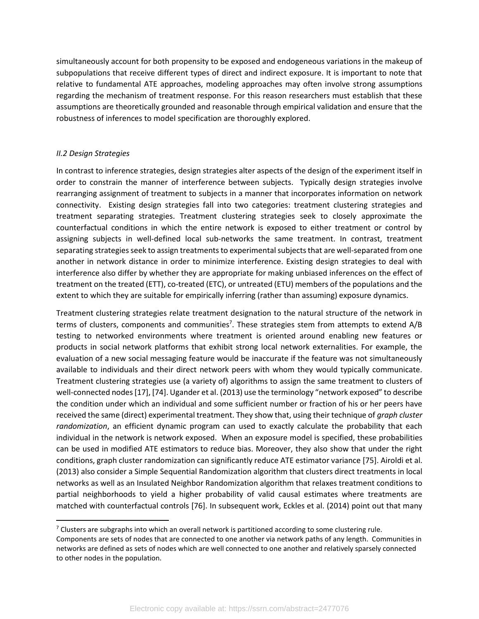simultaneously account for both propensity to be exposed and endogeneous variations in the makeup of subpopulations that receive different types of direct and indirect exposure. It is important to note that relative to fundamental ATE approaches, modeling approaches may often involve strong assumptions regarding the mechanism of treatment response. For this reason researchers must establish that these assumptions are theoretically grounded and reasonable through empirical validation and ensure that the robustness of inferences to model specification are thoroughly explored.

## *II.2 Design Strategies*

 $\overline{a}$ 

In contrast to inference strategies, design strategies alter aspects of the design of the experiment itself in order to constrain the manner of interference between subjects. Typically design strategies involve rearranging assignment of treatment to subjects in a manner that incorporates information on network connectivity. Existing design strategies fall into two categories: treatment clustering strategies and treatment separating strategies. Treatment clustering strategies seek to closely approximate the counterfactual conditions in which the entire network is exposed to either treatment or control by assigning subjects in well-defined local sub-networks the same treatment. In contrast, treatment separating strategies seek to assign treatments to experimental subjects that are well-separated from one another in network distance in order to minimize interference. Existing design strategies to deal with interference also differ by whether they are appropriate for making unbiased inferences on the effect of treatment on the treated (ETT), co-treated (ETC), or untreated (ETU) members of the populations and the extent to which they are suitable for empirically inferring (rather than assuming) exposure dynamics.

Treatment clustering strategies relate treatment designation to the natural structure of the network in terms of clusters, components and communities<sup>7</sup>. These strategies stem from attempts to extend A/B testing to networked environments where treatment is oriented around enabling new features or products in social network platforms that exhibit strong local network externalities. For example, the evaluation of a new social messaging feature would be inaccurate if the feature was not simultaneously available to individuals and their direct network peers with whom they would typically communicate. Treatment clustering strategies use (a variety of) algorithms to assign the same treatment to clusters of well-connected nodes[17], [74]. Ugander et al. (2013) use the terminology "network exposed" to describe the condition under which an individual and some sufficient number or fraction of his or her peers have received the same (direct) experimental treatment. They show that, using their technique of *graph cluster randomization*, an efficient dynamic program can used to exactly calculate the probability that each individual in the network is network exposed. When an exposure model is specified, these probabilities can be used in modified ATE estimators to reduce bias. Moreover, they also show that under the right conditions, graph cluster randomization can significantly reduce ATE estimator variance [75]. Airoldi et al. (2013) also consider a Simple Sequential Randomization algorithm that clusters direct treatments in local networks as well as an Insulated Neighbor Randomization algorithm that relaxes treatment conditions to partial neighborhoods to yield a higher probability of valid causal estimates where treatments are matched with counterfactual controls [76]. In subsequent work, Eckles et al. (2014) point out that many

 $7$  Clusters are subgraphs into which an overall network is partitioned according to some clustering rule.

Components are sets of nodes that are connected to one another via network paths of any length. Communities in networks are defined as sets of nodes which are well connected to one another and relatively sparsely connected to other nodes in the population.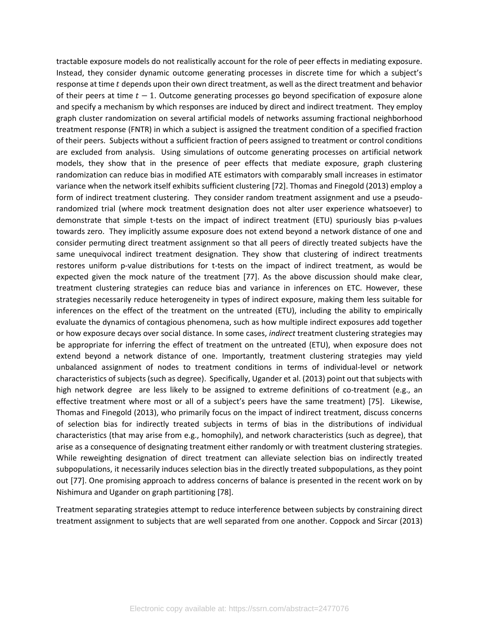tractable exposure models do not realistically account for the role of peer effects in mediating exposure. Instead, they consider dynamic outcome generating processes in discrete time for which a subject's response at time  $t$  depends upon their own direct treatment, as well as the direct treatment and behavior of their peers at time  $t - 1$ . Outcome generating processes go beyond specification of exposure alone and specify a mechanism by which responses are induced by direct and indirect treatment. They employ graph cluster randomization on several artificial models of networks assuming fractional neighborhood treatment response (FNTR) in which a subject is assigned the treatment condition of a specified fraction of their peers. Subjects without a sufficient fraction of peers assigned to treatment or control conditions are excluded from analysis. Using simulations of outcome generating processes on artificial network models, they show that in the presence of peer effects that mediate exposure, graph clustering randomization can reduce bias in modified ATE estimators with comparably small increases in estimator variance when the network itself exhibits sufficient clustering [72]. Thomas and Finegold (2013) employ a form of indirect treatment clustering. They consider random treatment assignment and use a pseudorandomized trial (where mock treatment designation does not alter user experience whatsoever) to demonstrate that simple t-tests on the impact of indirect treatment (ETU) spuriously bias p-values towards zero. They implicitly assume exposure does not extend beyond a network distance of one and consider permuting direct treatment assignment so that all peers of directly treated subjects have the same unequivocal indirect treatment designation. They show that clustering of indirect treatments restores uniform p-value distributions for t-tests on the impact of indirect treatment, as would be expected given the mock nature of the treatment [77]. As the above discussion should make clear, treatment clustering strategies can reduce bias and variance in inferences on ETC. However, these strategies necessarily reduce heterogeneity in types of indirect exposure, making them less suitable for inferences on the effect of the treatment on the untreated (ETU), including the ability to empirically evaluate the dynamics of contagious phenomena, such as how multiple indirect exposures add together or how exposure decays over social distance. In some cases, *indirect* treatment clustering strategies may be appropriate for inferring the effect of treatment on the untreated (ETU), when exposure does not extend beyond a network distance of one. Importantly, treatment clustering strategies may yield unbalanced assignment of nodes to treatment conditions in terms of individual-level or network characteristics of subjects (such as degree). Specifically, Ugander et al. (2013) point out that subjects with high network degree are less likely to be assigned to extreme definitions of co-treatment (e.g., an effective treatment where most or all of a subject's peers have the same treatment) [75]. Likewise, Thomas and Finegold (2013), who primarily focus on the impact of indirect treatment, discuss concerns of selection bias for indirectly treated subjects in terms of bias in the distributions of individual characteristics (that may arise from e.g., homophily), and network characteristics (such as degree), that arise as a consequence of designating treatment either randomly or with treatment clustering strategies. While reweighting designation of direct treatment can alleviate selection bias on indirectly treated subpopulations, it necessarily induces selection bias in the directly treated subpopulations, as they point out [77]. One promising approach to address concerns of balance is presented in the recent work on by Nishimura and Ugander on graph partitioning [78].

Treatment separating strategies attempt to reduce interference between subjects by constraining direct treatment assignment to subjects that are well separated from one another. Coppock and Sircar (2013)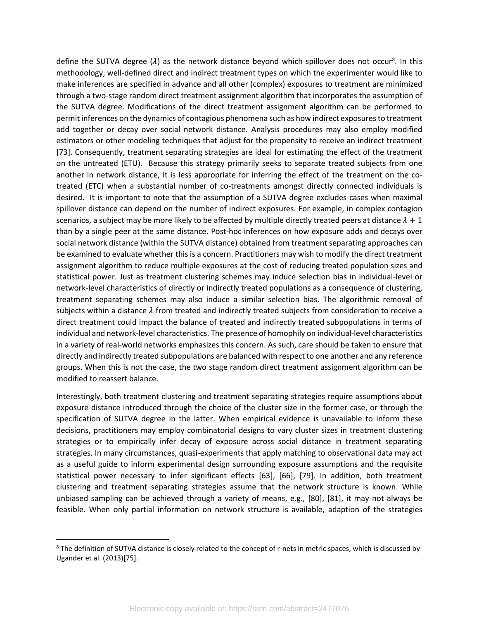define the SUTVA degree ( $\lambda$ ) as the network distance beyond which spillover does not occur<sup>8</sup>. In this methodology, well-defined direct and indirect treatment types on which the experimenter would like to make inferences are specified in advance and all other (complex) exposures to treatment are minimized through a two-stage random direct treatment assignment algorithm that incorporates the assumption of the SUTVA degree. Modifications of the direct treatment assignment algorithm can be performed to permit inferences on the dynamics of contagious phenomena such as how indirect exposures to treatment add together or decay over social network distance. Analysis procedures may also employ modified estimators or other modeling techniques that adjust for the propensity to receive an indirect treatment [73]. Consequently, treatment separating strategies are ideal for estimating the effect of the treatment on the untreated (ETU). Because this strategy primarily seeks to separate treated subjects from one another in network distance, it is less appropriate for inferring the effect of the treatment on the cotreated (ETC) when a substantial number of co-treatments amongst directly connected individuals is desired. It is important to note that the assumption of a SUTVA degree excludes cases when maximal spillover distance can depend on the number of indirect exposures. For example, in complex contagion scenarios, a subject may be more likely to be affected by multiple directly treated peers at distance  $\lambda + 1$ than by a single peer at the same distance. Post-hoc inferences on how exposure adds and decays over social network distance (within the SUTVA distance) obtained from treatment separating approaches can be examined to evaluate whether this is a concern. Practitioners may wish to modify the direct treatment assignment algorithm to reduce multiple exposures at the cost of reducing treated population sizes and statistical power. Just as treatment clustering schemes may induce selection bias in individual-level or network-level characteristics of directly or indirectly treated populations as a consequence of clustering, treatment separating schemes may also induce a similar selection bias. The algorithmic removal of subjects within a distance  $\lambda$  from treated and indirectly treated subjects from consideration to receive a direct treatment could impact the balance of treated and indirectly treated subpopulations in terms of individual and network-level characteristics. The presence of homophily on individual-level characteristics in a variety of real-world networks emphasizes this concern. As such, care should be taken to ensure that directly and indirectly treated subpopulations are balanced with respect to one another and any reference groups. When this is not the case, the two stage random direct treatment assignment algorithm can be modified to reassert balance.

Interestingly, both treatment clustering and treatment separating strategies require assumptions about exposure distance introduced through the choice of the cluster size in the former case, or through the specification of SUTVA degree in the latter. When empirical evidence is unavailable to inform these decisions, practitioners may employ combinatorial designs to vary cluster sizes in treatment clustering strategies or to empirically infer decay of exposure across social distance in treatment separating strategies. In many circumstances, quasi-experiments that apply matching to observational data may act as a useful guide to inform experimental design surrounding exposure assumptions and the requisite statistical power necessary to infer significant effects [63], [66], [79]. In addition, both treatment clustering and treatment separating strategies assume that the network structure is known. While unbiased sampling can be achieved through a variety of means, e.g., [80], [81], it may not always be feasible. When only partial information on network structure is available, adaption of the strategies

<sup>&</sup>lt;sup>8</sup> The definition of SUTVA distance is closely related to the concept of r-nets in metric spaces, which is discussed by Ugander et al. (2013)[75].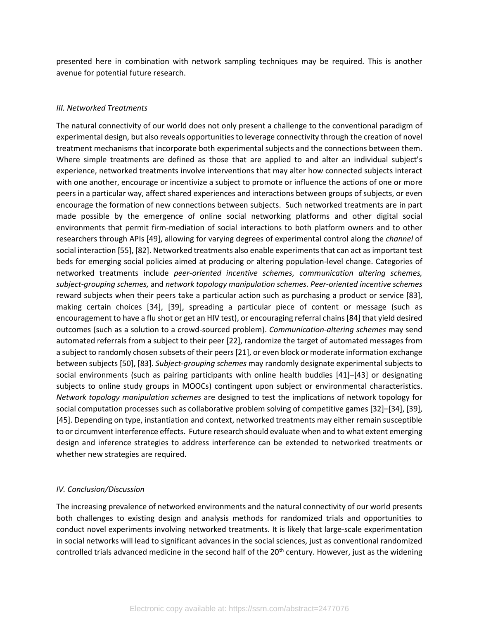presented here in combination with network sampling techniques may be required. This is another avenue for potential future research.

#### *III. Networked Treatments*

The natural connectivity of our world does not only present a challenge to the conventional paradigm of experimental design, but also reveals opportunities to leverage connectivity through the creation of novel treatment mechanisms that incorporate both experimental subjects and the connections between them. Where simple treatments are defined as those that are applied to and alter an individual subject's experience, networked treatments involve interventions that may alter how connected subjects interact with one another, encourage or incentivize a subject to promote or influence the actions of one or more peers in a particular way, affect shared experiences and interactions between groups of subjects, or even encourage the formation of new connections between subjects. Such networked treatments are in part made possible by the emergence of online social networking platforms and other digital social environments that permit firm-mediation of social interactions to both platform owners and to other researchers through APIs [49], allowing for varying degrees of experimental control along the *channel* of social interaction [55], [82]. Networked treatments also enable experiments that can act as important test beds for emerging social policies aimed at producing or altering population-level change. Categories of networked treatments include *peer-oriented incentive schemes, communication altering schemes, subject-grouping schemes,* and *network topology manipulation schemes. Peer-oriented incentive schemes* reward subjects when their peers take a particular action such as purchasing a product or service [83], making certain choices [34], [39], spreading a particular piece of content or message (such as encouragement to have a flu shot or get an HIV test), or encouraging referral chains [84] that yield desired outcomes (such as a solution to a crowd-sourced problem). *Communication-altering schemes* may send automated referrals from a subject to their peer [22], randomize the target of automated messages from a subject to randomly chosen subsets of their peers[21], or even block or moderate information exchange between subjects [50], [83]. *Subject-grouping schemes* may randomly designate experimental subjects to social environments (such as pairing participants with online health buddies [41]–[43] or designating subjects to online study groups in MOOCs) contingent upon subject or environmental characteristics. *Network topology manipulation schemes* are designed to test the implications of network topology for social computation processes such as collaborative problem solving of competitive games [32]–[34], [39], [45]. Depending on type, instantiation and context, networked treatments may either remain susceptible to or circumvent interference effects. Future research should evaluate when and to what extent emerging design and inference strategies to address interference can be extended to networked treatments or whether new strategies are required.

## *IV. Conclusion/Discussion*

The increasing prevalence of networked environments and the natural connectivity of our world presents both challenges to existing design and analysis methods for randomized trials and opportunities to conduct novel experiments involving networked treatments. It is likely that large-scale experimentation in social networks will lead to significant advances in the social sciences, just as conventional randomized controlled trials advanced medicine in the second half of the 20<sup>th</sup> century. However, just as the widening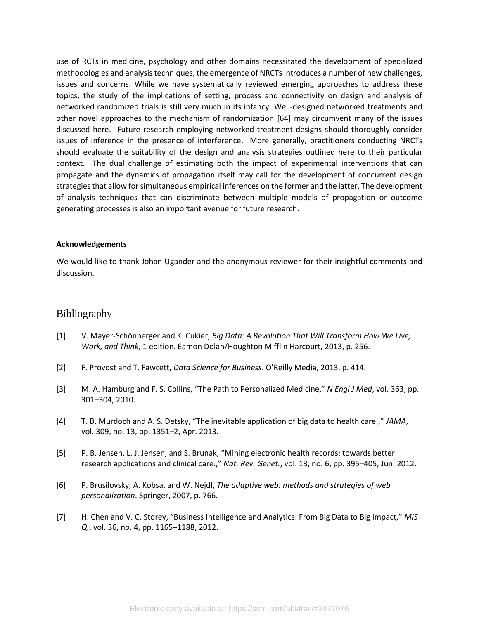use of RCTs in medicine, psychology and other domains necessitated the development of specialized methodologies and analysis techniques, the emergence of NRCTs introduces a number of new challenges, issues and concerns. While we have systematically reviewed emerging approaches to address these topics, the study of the implications of setting, process and connectivity on design and analysis of networked randomized trials is still very much in its infancy. Well-designed networked treatments and other novel approaches to the mechanism of randomization [64] may circumvent many of the issues discussed here. Future research employing networked treatment designs should thoroughly consider issues of inference in the presence of interference. More generally, practitioners conducting NRCTs should evaluate the suitability of the design and analysis strategies outlined here to their particular context. The dual challenge of estimating both the impact of experimental interventions that can propagate and the dynamics of propagation itself may call for the development of concurrent design strategies that allow for simultaneous empirical inferences on the former and the latter. The development of analysis techniques that can discriminate between multiple models of propagation or outcome generating processes is also an important avenue for future research.

#### **Acknowledgements**

We would like to thank Johan Ugander and the anonymous reviewer for their insightful comments and discussion.

# Bibliography

- [1] V. Mayer-Schönberger and K. Cukier, *Big Data: A Revolution That Will Transform How We Live, Work, and Think*, 1 edition. Eamon Dolan/Houghton Mifflin Harcourt, 2013, p. 256.
- [2] F. Provost and T. Fawcett, *Data Science for Business*. O'Reilly Media, 2013, p. 414.
- [3] M. A. Hamburg and F. S. Collins, "The Path to Personalized Medicine," *N Engl J Med*, vol. 363, pp. 301–304, 2010.
- [4] T. B. Murdoch and A. S. Detsky, "The inevitable application of big data to health care.," *JAMA*, vol. 309, no. 13, pp. 1351–2, Apr. 2013.
- [5] P. B. Jensen, L. J. Jensen, and S. Brunak, "Mining electronic health records: towards better research applications and clinical care.," *Nat. Rev. Genet.*, vol. 13, no. 6, pp. 395–405, Jun. 2012.
- [6] P. Brusilovsky, A. Kobsa, and W. Nejdl, *The adaptive web: methods and strategies of web personalization*. Springer, 2007, p. 766.
- [7] H. Chen and V. C. Storey, "Business Intelligence and Analytics: From Big Data to Big Impact," *MIS Q.*, vol. 36, no. 4, pp. 1165–1188, 2012.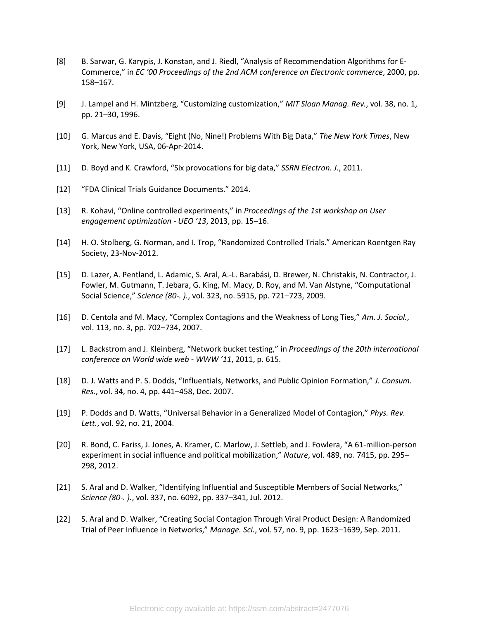- [8] B. Sarwar, G. Karypis, J. Konstan, and J. Riedl, "Analysis of Recommendation Algorithms for E-Commerce," in *EC '00 Proceedings of the 2nd ACM conference on Electronic commerce*, 2000, pp. 158–167.
- [9] J. Lampel and H. Mintzberg, "Customizing customization," *MIT Sloan Manag. Rev.*, vol. 38, no. 1, pp. 21–30, 1996.
- [10] G. Marcus and E. Davis, "Eight (No, Nine!) Problems With Big Data," *The New York Times*, New York, New York, USA, 06-Apr-2014.
- [11] D. Boyd and K. Crawford, "Six provocations for big data," *SSRN Electron. J.*, 2011.
- [12] "FDA Clinical Trials Guidance Documents." 2014.
- [13] R. Kohavi, "Online controlled experiments," in *Proceedings of the 1st workshop on User engagement optimization - UEO '13*, 2013, pp. 15–16.
- [14] H. O. Stolberg, G. Norman, and I. Trop, "Randomized Controlled Trials." American Roentgen Ray Society, 23-Nov-2012.
- [15] D. Lazer, A. Pentland, L. Adamic, S. Aral, A.-L. Barabási, D. Brewer, N. Christakis, N. Contractor, J. Fowler, M. Gutmann, T. Jebara, G. King, M. Macy, D. Roy, and M. Van Alstyne, "Computational Social Science," *Science (80-. ).*, vol. 323, no. 5915, pp. 721–723, 2009.
- [16] D. Centola and M. Macy, "Complex Contagions and the Weakness of Long Ties," *Am. J. Sociol.*, vol. 113, no. 3, pp. 702–734, 2007.
- [17] L. Backstrom and J. Kleinberg, "Network bucket testing," in *Proceedings of the 20th international conference on World wide web - WWW '11*, 2011, p. 615.
- [18] D. J. Watts and P. S. Dodds, "Influentials, Networks, and Public Opinion Formation," *J. Consum. Res.*, vol. 34, no. 4, pp. 441–458, Dec. 2007.
- [19] P. Dodds and D. Watts, "Universal Behavior in a Generalized Model of Contagion," *Phys. Rev. Lett.*, vol. 92, no. 21, 2004.
- [20] R. Bond, C. Fariss, J. Jones, A. Kramer, C. Marlow, J. Settleb, and J. Fowlera, "A 61-million-person experiment in social influence and political mobilization," *Nature*, vol. 489, no. 7415, pp. 295– 298, 2012.
- [21] S. Aral and D. Walker, "Identifying Influential and Susceptible Members of Social Networks," *Science (80-. ).*, vol. 337, no. 6092, pp. 337–341, Jul. 2012.
- [22] S. Aral and D. Walker, "Creating Social Contagion Through Viral Product Design: A Randomized Trial of Peer Influence in Networks," *Manage. Sci.*, vol. 57, no. 9, pp. 1623–1639, Sep. 2011.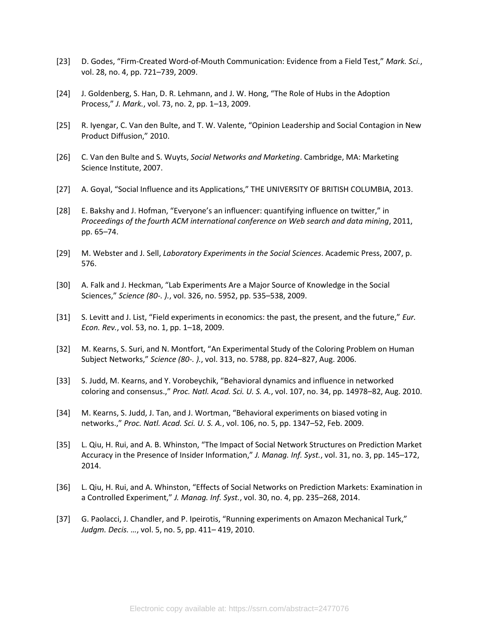- [23] D. Godes, "Firm-Created Word-of-Mouth Communication: Evidence from a Field Test," *Mark. Sci.*, vol. 28, no. 4, pp. 721–739, 2009.
- [24] J. Goldenberg, S. Han, D. R. Lehmann, and J. W. Hong, "The Role of Hubs in the Adoption Process," *J. Mark.*, vol. 73, no. 2, pp. 1–13, 2009.
- [25] R. Iyengar, C. Van den Bulte, and T. W. Valente, "Opinion Leadership and Social Contagion in New Product Diffusion," 2010.
- [26] C. Van den Bulte and S. Wuyts, *Social Networks and Marketing*. Cambridge, MA: Marketing Science Institute, 2007.
- [27] A. Goyal, "Social Influence and its Applications," THE UNIVERSITY OF BRITISH COLUMBIA, 2013.
- [28] E. Bakshy and J. Hofman, "Everyone's an influencer: quantifying influence on twitter," in *Proceedings of the fourth ACM international conference on Web search and data mining*, 2011, pp. 65–74.
- [29] M. Webster and J. Sell, *Laboratory Experiments in the Social Sciences*. Academic Press, 2007, p. 576.
- [30] A. Falk and J. Heckman, "Lab Experiments Are a Major Source of Knowledge in the Social Sciences," *Science (80-. ).*, vol. 326, no. 5952, pp. 535–538, 2009.
- [31] S. Levitt and J. List, "Field experiments in economics: the past, the present, and the future," *Eur. Econ. Rev.*, vol. 53, no. 1, pp. 1–18, 2009.
- [32] M. Kearns, S. Suri, and N. Montfort, "An Experimental Study of the Coloring Problem on Human Subject Networks," *Science (80-. ).*, vol. 313, no. 5788, pp. 824–827, Aug. 2006.
- [33] S. Judd, M. Kearns, and Y. Vorobeychik, "Behavioral dynamics and influence in networked coloring and consensus.," *Proc. Natl. Acad. Sci. U. S. A.*, vol. 107, no. 34, pp. 14978–82, Aug. 2010.
- [34] M. Kearns, S. Judd, J. Tan, and J. Wortman, "Behavioral experiments on biased voting in networks.," *Proc. Natl. Acad. Sci. U. S. A.*, vol. 106, no. 5, pp. 1347–52, Feb. 2009.
- [35] L. Qiu, H. Rui, and A. B. Whinston, "The Impact of Social Network Structures on Prediction Market Accuracy in the Presence of Insider Information," *J. Manag. Inf. Syst.*, vol. 31, no. 3, pp. 145–172, 2014.
- [36] L. Qiu, H. Rui, and A. Whinston, "Effects of Social Networks on Prediction Markets: Examination in a Controlled Experiment," *J. Manag. Inf. Syst.*, vol. 30, no. 4, pp. 235–268, 2014.
- [37] G. Paolacci, J. Chandler, and P. Ipeirotis, "Running experiments on Amazon Mechanical Turk," *Judgm. Decis. …*, vol. 5, no. 5, pp. 411– 419, 2010.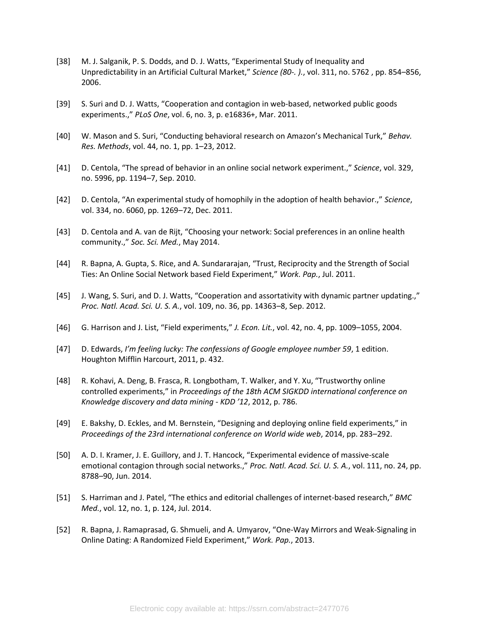- [38] M. J. Salganik, P. S. Dodds, and D. J. Watts, "Experimental Study of Inequality and Unpredictability in an Artificial Cultural Market," *Science (80-. ).*, vol. 311, no. 5762 , pp. 854–856, 2006.
- [39] S. Suri and D. J. Watts, "Cooperation and contagion in web-based, networked public goods experiments.," *PLoS One*, vol. 6, no. 3, p. e16836+, Mar. 2011.
- [40] W. Mason and S. Suri, "Conducting behavioral research on Amazon's Mechanical Turk," *Behav. Res. Methods*, vol. 44, no. 1, pp. 1–23, 2012.
- [41] D. Centola, "The spread of behavior in an online social network experiment.," *Science*, vol. 329, no. 5996, pp. 1194–7, Sep. 2010.
- [42] D. Centola, "An experimental study of homophily in the adoption of health behavior.," *Science*, vol. 334, no. 6060, pp. 1269–72, Dec. 2011.
- [43] D. Centola and A. van de Rijt, "Choosing your network: Social preferences in an online health community.," *Soc. Sci. Med.*, May 2014.
- [44] R. Bapna, A. Gupta, S. Rice, and A. Sundararajan, "Trust, Reciprocity and the Strength of Social Ties: An Online Social Network based Field Experiment," *Work. Pap.*, Jul. 2011.
- [45] J. Wang, S. Suri, and D. J. Watts, "Cooperation and assortativity with dynamic partner updating.," *Proc. Natl. Acad. Sci. U. S. A.*, vol. 109, no. 36, pp. 14363–8, Sep. 2012.
- [46] G. Harrison and J. List, "Field experiments," *J. Econ. Lit.*, vol. 42, no. 4, pp. 1009–1055, 2004.
- [47] D. Edwards, *I'm feeling lucky: The confessions of Google employee number 59*, 1 edition. Houghton Mifflin Harcourt, 2011, p. 432.
- [48] R. Kohavi, A. Deng, B. Frasca, R. Longbotham, T. Walker, and Y. Xu, "Trustworthy online controlled experiments," in *Proceedings of the 18th ACM SIGKDD international conference on Knowledge discovery and data mining - KDD '12*, 2012, p. 786.
- [49] E. Bakshy, D. Eckles, and M. Bernstein, "Designing and deploying online field experiments," in *Proceedings of the 23rd international conference on World wide web*, 2014, pp. 283–292.
- [50] A. D. I. Kramer, J. E. Guillory, and J. T. Hancock, "Experimental evidence of massive-scale emotional contagion through social networks.," *Proc. Natl. Acad. Sci. U. S. A.*, vol. 111, no. 24, pp. 8788–90, Jun. 2014.
- [51] S. Harriman and J. Patel, "The ethics and editorial challenges of internet-based research," *BMC Med.*, vol. 12, no. 1, p. 124, Jul. 2014.
- [52] R. Bapna, J. Ramaprasad, G. Shmueli, and A. Umyarov, "One-Way Mirrors and Weak-Signaling in Online Dating: A Randomized Field Experiment," *Work. Pap.*, 2013.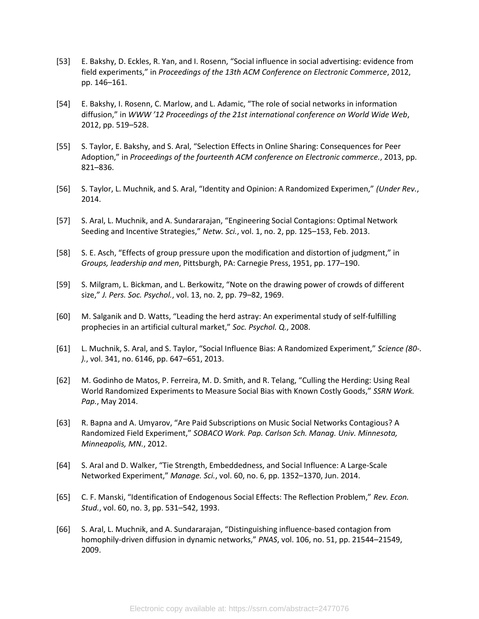- [53] E. Bakshy, D. Eckles, R. Yan, and I. Rosenn, "Social influence in social advertising: evidence from field experiments," in *Proceedings of the 13th ACM Conference on Electronic Commerce*, 2012, pp. 146–161.
- [54] E. Bakshy, I. Rosenn, C. Marlow, and L. Adamic, "The role of social networks in information diffusion," in *WWW '12 Proceedings of the 21st international conference on World Wide Web*, 2012, pp. 519–528.
- [55] S. Taylor, E. Bakshy, and S. Aral, "Selection Effects in Online Sharing: Consequences for Peer Adoption," in *Proceedings of the fourteenth ACM conference on Electronic commerce.*, 2013, pp. 821–836.
- [56] S. Taylor, L. Muchnik, and S. Aral, "Identity and Opinion: A Randomized Experimen," *(Under Rev.*, 2014.
- [57] S. Aral, L. Muchnik, and A. Sundararajan, "Engineering Social Contagions: Optimal Network Seeding and Incentive Strategies," *Netw. Sci.*, vol. 1, no. 2, pp. 125–153, Feb. 2013.
- [58] S. E. Asch, "Effects of group pressure upon the modification and distortion of judgment," in *Groups, leadership and men*, Pittsburgh, PA: Carnegie Press, 1951, pp. 177–190.
- [59] S. Milgram, L. Bickman, and L. Berkowitz, "Note on the drawing power of crowds of different size," *J. Pers. Soc. Psychol.*, vol. 13, no. 2, pp. 79–82, 1969.
- [60] M. Salganik and D. Watts, "Leading the herd astray: An experimental study of self-fulfilling prophecies in an artificial cultural market," *Soc. Psychol. Q.*, 2008.
- [61] L. Muchnik, S. Aral, and S. Taylor, "Social Influence Bias: A Randomized Experiment," *Science (80-. ).*, vol. 341, no. 6146, pp. 647–651, 2013.
- [62] M. Godinho de Matos, P. Ferreira, M. D. Smith, and R. Telang, "Culling the Herding: Using Real World Randomized Experiments to Measure Social Bias with Known Costly Goods," *SSRN Work. Pap.*, May 2014.
- [63] R. Bapna and A. Umyarov, "Are Paid Subscriptions on Music Social Networks Contagious? A Randomized Field Experiment," *SOBACO Work. Pap. Carlson Sch. Manag. Univ. Minnesota, Minneapolis, MN.*, 2012.
- [64] S. Aral and D. Walker, "Tie Strength, Embeddedness, and Social Influence: A Large-Scale Networked Experiment," *Manage. Sci.*, vol. 60, no. 6, pp. 1352–1370, Jun. 2014.
- [65] C. F. Manski, "Identification of Endogenous Social Effects: The Reflection Problem," *Rev. Econ. Stud.*, vol. 60, no. 3, pp. 531–542, 1993.
- [66] S. Aral, L. Muchnik, and A. Sundararajan, "Distinguishing influence-based contagion from homophily-driven diffusion in dynamic networks," *PNAS*, vol. 106, no. 51, pp. 21544–21549, 2009.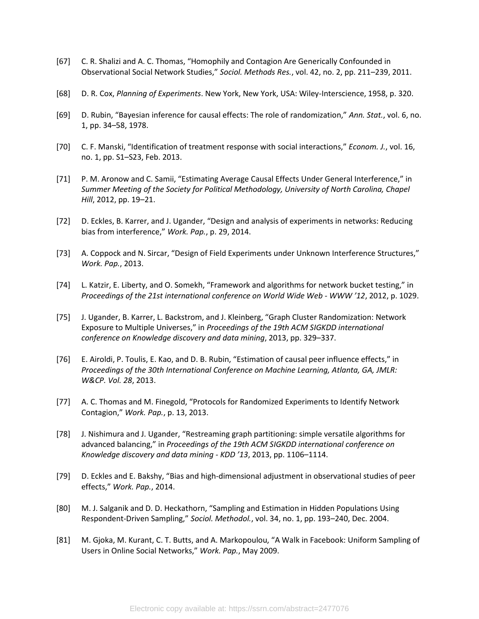- [67] C. R. Shalizi and A. C. Thomas, "Homophily and Contagion Are Generically Confounded in Observational Social Network Studies," *Sociol. Methods Res.*, vol. 42, no. 2, pp. 211–239, 2011.
- [68] D. R. Cox, *Planning of Experiments*. New York, New York, USA: Wiley-Interscience, 1958, p. 320.
- [69] D. Rubin, "Bayesian inference for causal effects: The role of randomization," *Ann. Stat.*, vol. 6, no. 1, pp. 34–58, 1978.
- [70] C. F. Manski, "Identification of treatment response with social interactions," *Econom. J.*, vol. 16, no. 1, pp. S1–S23, Feb. 2013.
- [71] P. M. Aronow and C. Samii, "Estimating Average Causal Effects Under General Interference," in *Summer Meeting of the Society for Political Methodology, University of North Carolina, Chapel Hill*, 2012, pp. 19–21.
- [72] D. Eckles, B. Karrer, and J. Ugander, "Design and analysis of experiments in networks: Reducing bias from interference," *Work. Pap.*, p. 29, 2014.
- [73] A. Coppock and N. Sircar, "Design of Field Experiments under Unknown Interference Structures," *Work. Pap.*, 2013.
- [74] L. Katzir, E. Liberty, and O. Somekh, "Framework and algorithms for network bucket testing," in *Proceedings of the 21st international conference on World Wide Web - WWW '12*, 2012, p. 1029.
- [75] J. Ugander, B. Karrer, L. Backstrom, and J. Kleinberg, "Graph Cluster Randomization: Network Exposure to Multiple Universes," in *Proceedings of the 19th ACM SIGKDD international conference on Knowledge discovery and data mining*, 2013, pp. 329–337.
- [76] E. Airoldi, P. Toulis, E. Kao, and D. B. Rubin, "Estimation of causal peer influence effects," in *Proceedings of the 30th International Conference on Machine Learning, Atlanta, GA, JMLR: W&CP. Vol. 28*, 2013.
- [77] A. C. Thomas and M. Finegold, "Protocols for Randomized Experiments to Identify Network Contagion," *Work. Pap.*, p. 13, 2013.
- [78] J. Nishimura and J. Ugander, "Restreaming graph partitioning: simple versatile algorithms for advanced balancing," in *Proceedings of the 19th ACM SIGKDD international conference on Knowledge discovery and data mining - KDD '13*, 2013, pp. 1106–1114.
- [79] D. Eckles and E. Bakshy, "Bias and high-dimensional adjustment in observational studies of peer effects," *Work. Pap.*, 2014.
- [80] M. J. Salganik and D. D. Heckathorn, "Sampling and Estimation in Hidden Populations Using Respondent-Driven Sampling," *Sociol. Methodol.*, vol. 34, no. 1, pp. 193–240, Dec. 2004.
- [81] M. Gjoka, M. Kurant, C. T. Butts, and A. Markopoulou, "A Walk in Facebook: Uniform Sampling of Users in Online Social Networks," *Work. Pap.*, May 2009.